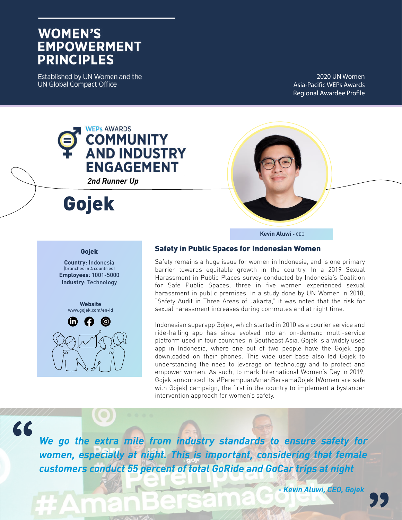# **WOMEN'S EMPOWERMENT PRINCIPLES**

Established by UN Women and the **UN Global Compact Office** 

2020 UN Women Asia-Pacific WEPs Awards Regional Awardee Profile



#### Gojek

**Country**: Indonesia (branches in 4 countries) **Employees**: 1001-5000 **Industry**: Technology

> **Website** www.gojek.com/en-id



## Safety in Public Spaces for Indonesian Women

Safety remains a huge issue for women in Indonesia, and is one primary barrier towards equitable growth in the country. In a 2019 Sexual Harassment in Public Places survey conducted by Indonesia's Coalition for Safe Public Spaces, three in five women experienced sexual harassment in public premises. In a study done by UN Women in 2018, "Safety Audit in Three Areas of Jakarta," it was noted that the risk for sexual harassment increases during commutes and at night time.

**Kevin Aluwi** - CEO

Indonesian superapp Gojek, which started in 2010 as a courier service and ride-hailing app has since evolved into an on-demand multi-service platform used in four countries in Southeast Asia. Gojek is a widely used app in Indonesia, where one out of two people have the Gojek app downloaded on their phones. This wide user base also led Gojek to understanding the need to leverage on technology and to protect and empower women. As such, to mark International Women's Day in 2019, Gojek announced its #PerempuanAmanBersamaGojek (Women are safe with Gojek) campaign, the first in the country to implement a bystander intervention approach for women's safety.

66

*We go the extra mile from industry standards to ensure safety for women, especially at night. This is important, considering that female customers conduct 55 percent of total GoRide and GoCar trips at night*

*- Kevin Aluwi, CEO, Gojek*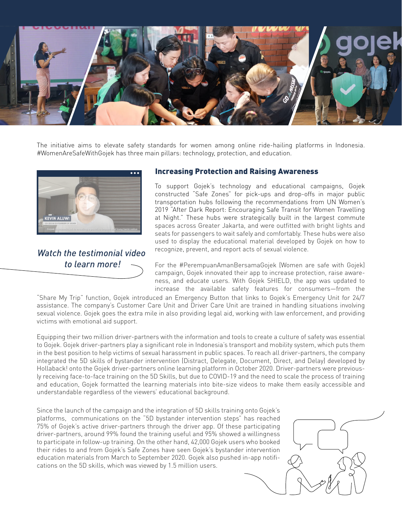

The initiative aims to elevate safety standards for women among online ride-hailing platforms in Indonesia. #WomenAreSafeWithGojek has three main pillars: technology, protection, and education.



*Watch the testimonial video to learn more!*

#### Increasing Protection and Raising Awareness

To support Gojek's technology and educational campaigns, Gojek constructed "Safe Zones" for pick-ups and drop-offs in major public transportation hubs following the recommendations from UN Women's 2019 "After Dark Report: Encouraging Safe Transit for Women Travelling at Night." These hubs were strategically built in the largest commute spaces across Greater Jakarta, and were outfitted with bright lights and seats for passengers to wait safely and comfortably. These hubs were also used to display the educational material developed by Gojek on how to recognize, prevent, and report acts of sexual violence.

For the #PerempuanAmanBersamaGojek (Women are safe with Gojek) campaign, Gojek innovated their app to increase protection, raise awareness, and educate users. With Gojek SHIELD, the app was updated to increase the available safety features for consumers—from the

"Share My Trip" function, Gojek introduced an Emergency Button that links to Gojek's Emergency Unit for 24/7 assistance. The company's Customer Care Unit and Driver Care Unit are trained in handling situations involving sexual violence. Gojek goes the extra mile in also providing legal aid, working with law enforcement, and providing victims with emotional aid support.

Equipping their two million driver-partners with the information and tools to create a culture of safety was essential to Gojek. Gojek driver-partners play a significant role in Indonesia's transport and mobility system, which puts them in the best position to help victims of sexual harassment in public spaces. To reach all driver-partners, the company integrated the 5D skills of bystander intervention (Distract, Delegate, Document, Direct, and Delay) developed by Hollaback! onto the Gojek driver-partners online learning platform in October 2020. Driver-partners were previously receiving face-to-face training on the 5D Skills, but due to COVID-19 and the need to scale the process of training and education, Gojek formatted the learning materials into bite-size videos to make them easily accessible and understandable regardless of the viewers' educational background.

Since the launch of the campaign and the integration of 5D skills training onto Gojek's platforms, communications on the "5D bystander intervention steps" has reached 75% of Gojek's active driver-partners through the driver app. Of these participating driver-partners, around 99% found the training useful and 95% showed a willingness to participate in follow-up training. On the other hand, 42,000 Gojek users who booked their rides to and from Gojek's Safe Zones have seen Gojek's bystander intervention education materials from March to September 2020. Gojek also pushed in-app notifications on the 5D skills, which was viewed by 1.5 million users.